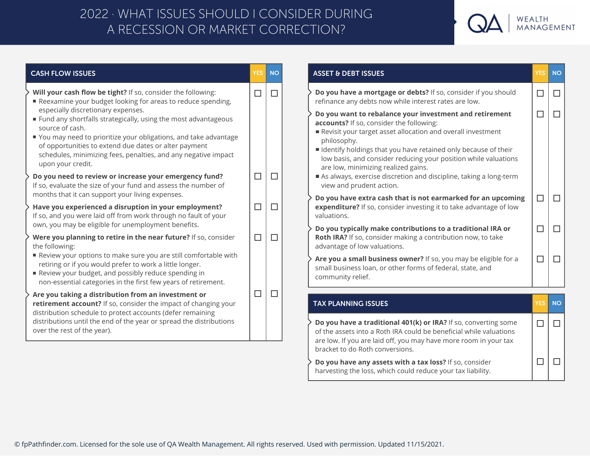## A RECESSION OR MARKET CORRECTION? 2022 · WHAT ISSUES SHOULD I CONSIDER DURING



| <b>CASH FLOW ISSUES</b>                                                                                                                                                                                                                                                                                                                        | <b>YES</b> | <b>NO</b> |
|------------------------------------------------------------------------------------------------------------------------------------------------------------------------------------------------------------------------------------------------------------------------------------------------------------------------------------------------|------------|-----------|
| Will your cash flow be tight? If so, consider the following:<br>Reexamine your budget looking for areas to reduce spending,                                                                                                                                                                                                                    | $\Box$     | $\Box$    |
| especially discretionary expenses.<br>■ Fund any shortfalls strategically, using the most advantageous<br>source of cash.<br>■ You may need to prioritize your obligations, and take advantage<br>of opportunities to extend due dates or alter payment<br>schedules, minimizing fees, penalties, and any negative impact<br>upon your credit. |            |           |
| Do you need to review or increase your emergency fund?<br>If so, evaluate the size of your fund and assess the number of<br>months that it can support your living expenses.                                                                                                                                                                   | $\Box$     | $\Box$    |
| Have you experienced a disruption in your employment?<br>If so, and you were laid off from work through no fault of your<br>own, you may be eligible for unemployment benefits.                                                                                                                                                                | $\Box$     | □         |
| Were you planning to retire in the near future? If so, consider<br>the following:                                                                                                                                                                                                                                                              | $\Box$     | $\Box$    |
| Review your options to make sure you are still comfortable with<br>retiring or if you would prefer to work a little longer.<br>Review your budget, and possibly reduce spending in<br>non-essential categories in the first few years of retirement.                                                                                           |            |           |
| Are you taking a distribution from an investment or<br>retirement account? If so, consider the impact of changing your<br>distribution schedule to protect accounts (defer remaining<br>distributions until the end of the year or spread the distributions<br>over the rest of the year).                                                     | $\Box$     | $\Box$    |
|                                                                                                                                                                                                                                                                                                                                                |            |           |
|                                                                                                                                                                                                                                                                                                                                                |            |           |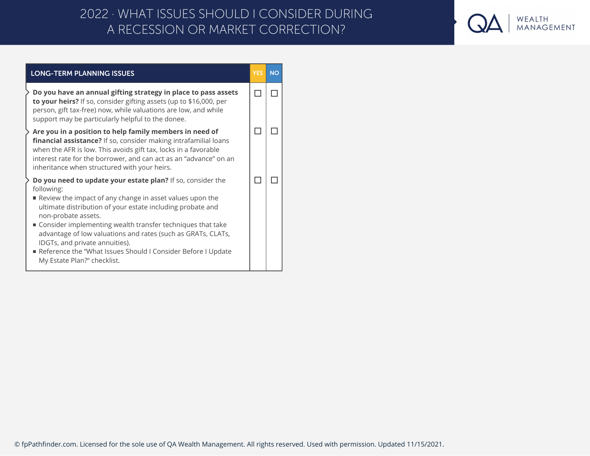## A RECESSION OR MARKET CORRECTION? 2022 · WHAT ISSUES SHOULD I CONSIDER DURING



| <b>LONG-TERM PLANNING ISSUES</b>                                                                                                                                                                                                                                                                                                                                                                                                                                                            | <b>YES</b> | <b>NO</b> |
|---------------------------------------------------------------------------------------------------------------------------------------------------------------------------------------------------------------------------------------------------------------------------------------------------------------------------------------------------------------------------------------------------------------------------------------------------------------------------------------------|------------|-----------|
| Do you have an annual gifting strategy in place to pass assets<br>to your heirs? If so, consider gifting assets (up to \$16,000, per<br>person, gift tax-free) now, while valuations are low, and while<br>support may be particularly helpful to the donee.                                                                                                                                                                                                                                |            |           |
| Are you in a position to help family members in need of<br>financial assistance? If so, consider making intrafamilial loans<br>when the AFR is low. This avoids gift tax, locks in a favorable<br>interest rate for the borrower, and can act as an "advance" on an<br>inheritance when structured with your heirs.                                                                                                                                                                         |            |           |
| Do you need to update your estate plan? If so, consider the<br>following:<br>Review the impact of any change in asset values upon the<br>ultimate distribution of your estate including probate and<br>non-probate assets.<br>■ Consider implementing wealth transfer techniques that take<br>advantage of low valuations and rates (such as GRATs, CLATs,<br>IDGTs, and private annuities).<br>Reference the "What Issues Should I Consider Before I Update<br>My Estate Plan?" checklist. |            |           |